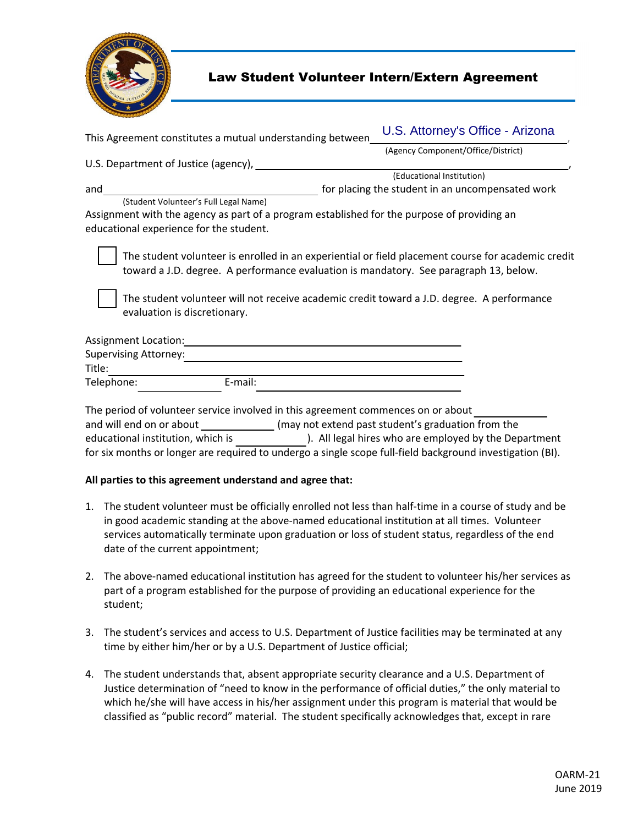

## Law Student Volunteer Intern/Extern Agreement

| This Agreement constitutes a mutual understanding between                                                                                                                                                                                                                                                                 | U.S. Attorney's Office - Arizona                      |
|---------------------------------------------------------------------------------------------------------------------------------------------------------------------------------------------------------------------------------------------------------------------------------------------------------------------------|-------------------------------------------------------|
|                                                                                                                                                                                                                                                                                                                           | (Agency Component/Office/District)                    |
| U.S. Department of Justice (agency),                                                                                                                                                                                                                                                                                      |                                                       |
|                                                                                                                                                                                                                                                                                                                           | (Educational Institution)                             |
| and                                                                                                                                                                                                                                                                                                                       | for placing the student in an uncompensated work      |
| (Student Volunteer's Full Legal Name)                                                                                                                                                                                                                                                                                     |                                                       |
| Assignment with the agency as part of a program established for the purpose of providing an<br>educational experience for the student.                                                                                                                                                                                    |                                                       |
| The student volunteer is enrolled in an experiential or field placement course for academic credit<br>toward a J.D. degree. A performance evaluation is mandatory. See paragraph 13, below.<br>The student volunteer will not receive academic credit toward a J.D. degree. A performance<br>evaluation is discretionary. |                                                       |
| Assignment Location:                                                                                                                                                                                                                                                                                                      |                                                       |
| <b>Supervising Attorney:</b>                                                                                                                                                                                                                                                                                              |                                                       |
| Title:                                                                                                                                                                                                                                                                                                                    |                                                       |
| E-mail:<br>Telephone:                                                                                                                                                                                                                                                                                                     |                                                       |
| The period of volunteer service involved in this agreement commences on or about<br>and will end on or about _________________(may not extend past student's graduation from the<br>educational institution, which is                                                                                                     | ). All legal hires who are employed by the Department |

for six months or longer are required to undergo a single scope full-field background investigation (BI).

## **All parties to this agreement understand and agree that:**

- 1. The student volunteer must be officially enrolled not less than half-time in a course of study and be in good academic standing at the above-named educational institution at all times. Volunteer services automatically terminate upon graduation or loss of student status, regardless of the end date of the current appointment;
- 2. The above-named educational institution has agreed for the student to volunteer his/her services as part of a program established for the purpose of providing an educational experience for the student;
- time by either him/her or by a U.S. Department of Justice official; 3. The student's services and access to U.S. Department of Justice facilities may be terminated at any
- 4. The student understands that, absent appropriate security clearance and a U.S. Department of Justice determination of "need to know in the performance of official duties," the only material to which he/she will have access in his/her assignment under this program is material that would be classified as "public record" material. The student specifically acknowledges that, except in rare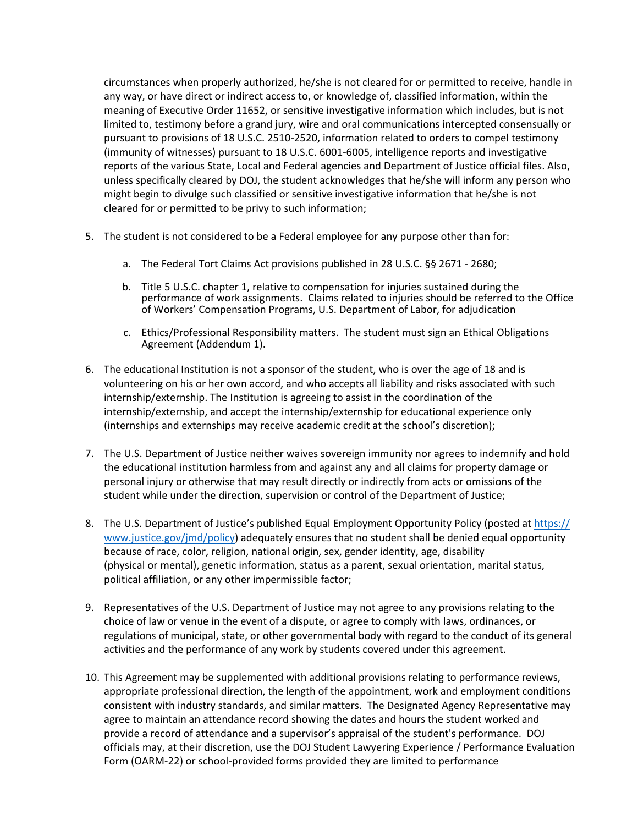pursuant to provisions of 18 U.S.C. 2510-2520, information related to orders to compel testimony (immunity of witnesses) pursuant to 18 U.S.C. 6001-6005, intelligence reports and investigative unless specifically cleared by DOJ, the student acknowledges that he/she will inform any person who circumstances when properly authorized, he/she is not cleared for or permitted to receive, handle in any way, or have direct or indirect access to, or knowledge of, classified information, within the meaning of Executive Order 11652, or sensitive investigative information which includes, but is not limited to, testimony before a grand jury, wire and oral communications intercepted consensually or reports of the various State, Local and Federal agencies and Department of Justice official files. Also, might begin to divulge such classified or sensitive investigative information that he/she is not cleared for or permitted to be privy to such information;

- 5. The student is not considered to be a Federal employee for any purpose other than for:
	- a. The Federal Tort Claims Act provisions published in 28 U.S.C. §§ 2671 2680;
	- of Workers' Compensation Programs, U.S. Department of Labor, for adjudication b. Title 5 U.S.C. chapter 1, relative to compensation for injuries sustained during the performance of work assignments. Claims related to injuries should be referred to the Office
	- c. Ethics/Professional Responsibility matters. The student must sign an Ethical Obligations Agreement (Addendum 1).
- 6. The educational Institution is not a sponsor of the student, who is over the age of 18 and is (internships and externships may receive academic credit at the school's discretion); volunteering on his or her own accord, and who accepts all liability and risks associated with such internship/externship. The Institution is agreeing to assist in the coordination of the internship/externship, and accept the internship/externship for educational experience only
- student while under the direction, supervision or control of the Department of Justice; 7. The U.S. Department of Justice neither waives sovereign immunity nor agrees to indemnify and hold the educational institution harmless from and against any and all claims for property damage or personal injury or otherwise that may result directly or indirectly from acts or omissions of the
- 8. [The U.S. Department of Justice's published Equal Employment Opportunity Policy \(posted at](https://www.justice.gov/jmd/policy) https:// www.justice.gov/jmd/policy) adequately ensures that no student shall be denied equal opportunity because of race, color, religion, national origin, sex, gender identity, age, disability (physical or mental), genetic information, status as a parent, sexual orientation, marital status, political affiliation, or any other impermissible factor;
- 9. Representatives of the U.S. Department of Justice may not agree to any provisions relating to the choice of law or venue in the event of a dispute, or agree to comply with laws, ordinances, or regulations of municipal, state, or other governmental body with regard to the conduct of its general activities and the performance of any work by students covered under this agreement.
- agree to maintain an attendance record showing the dates and hours the student worked and 10. This Agreement may be supplemented with additional provisions relating to performance reviews, appropriate professional direction, the length of the appointment, work and employment conditions consistent with industry standards, and similar matters. The Designated Agency Representative may provide a record of attendance and a supervisor's appraisal of the student's performance. DOJ officials may, at their discretion, use the DOJ Student Lawyering Experience / Performance Evaluation Form (OARM-22) or school-provided forms provided they are limited to performance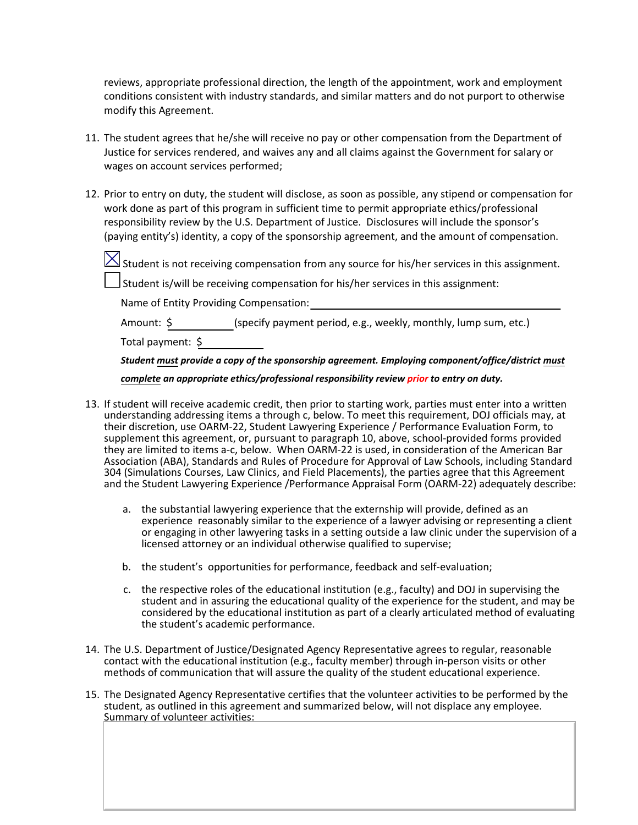reviews, appropriate professional direction, the length of the appointment, work and employment conditions consistent with industry standards, and similar matters and do not purport to otherwise modify this Agreement.

- 11. The student agrees that he/she will receive no pay or other compensation from the Department of Justice for services rendered, and waives any and all claims against the Government for salary or wages on account services performed;
- 12. Prior to entry on duty, the student will disclose, as soon as possible, any stipend or compensation for work done as part of this program in sufficient time to permit appropriate ethics/professional responsibility review by the U.S. Department of Justice. Disclosures will include the sponsor's (paying entity's) identity, a copy of the sponsorship agreement, and the amount of compensation.
	- $\boxtimes$  Student is not receiving compensation from any source for his/her services in this assignment.

 $\Box$  Student is/will be receiving compensation for his/her services in this assignment:

Name of Entity Providing Compensation:

Amount: \$ (specify payment period, e.g., weekly, monthly, lump sum, etc.)

Total payment: \$

*Student must provide a copy of the sponsorship agreement. Employing component/office/district must*

*complete an appropriate ethics/professional responsibility review prior to entry on duty.*

- 13. If student will receive academic credit, then prior to starting work, parties must enter into a written understanding addressing items a through c, below. To meet this requirement, DOJ officials may, at their discretion, use OARM-22, Student Lawyering Experience / Performance Evaluation Form, to supplement this agreement, or, pursuant to paragraph 10, above, school-provided forms provided they are limited to items a-c, below. When OARM-22 is used, in consideration of the American Bar Association (ABA), Standards and Rules of Procedure for Approval of Law Schools, including Standard 304 (Simulations Courses, Law Clinics, and Field Placements), the parties agree that this Agreement and the Student Lawyering Experience /Performance Appraisal Form (OARM-22) adequately describe:
	- a. the substantial lawyering experience that the externship will provide, defined as an experience reasonably similar to the experience of a lawyer advising or representing a client or engaging in other lawyering tasks in a setting outside a law clinic under the supervision of a licensed attorney or an individual otherwise qualified to supervise;
	- b. the student's opportunities for performance, feedback and self-evaluation;
	- c. the respective roles of the educational institution (e.g., faculty) and DOJ in supervising the student and in assuring the educational quality of the experience for the student, and may be considered by the educational institution as part of a clearly articulated method of evaluating the student's academic performance.
- 14. The U.S. Department of Justice/Designated Agency Representative agrees to regular, reasonable contact with the educational institution (e.g., faculty member) through in-person visits or other methods of communication that will assure the quality of the student educational experience.
- Summary of volunteer activities:15. The Designated Agency Representative certifies that the volunteer activities to be performed by the student, as outlined in this agreement and summarized below, will not displace any employee.